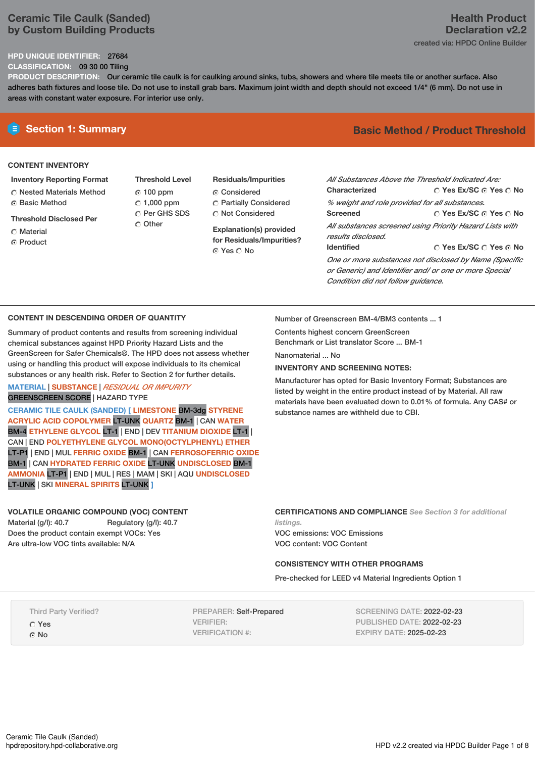## **Ceramic Tile Caulk (Sanded) by Custom Building Products**

## **HPD UNIQUE IDENTIFIER:** 27684

**CLASSIFICATION:** 09 30 00 Tiling

**PRODUCT DESCRIPTION:** Our ceramic tile caulk is for caulking around sinks, tubs, showers and where tile meets tile or another surface. Also adheres bath fixtures and loose tile. Do not use to install grab bars. Maximum joint width and depth should not exceed 1/4" (6 mm). Do not use in areas with constant water exposure. For interior use only.

## **CONTENT INVENTORY**

## **Inventory Reporting Format**

- Nested Materials Method Basic Method
- **Threshold Disclosed Per**
- Material
- ⊙ Product
- **Threshold Level** 100 ppm  $C$  1,000 ppm C Per GHS SDS O Other
- **Residuals/Impurities** Considered Partially Considered Not Considered

**Explanation(s) provided for Residuals/Impurities?** ⊙ Yes O No

# **Section 1: Summary Basic Method / Product Threshold**

| All Substances Above the Threshold Indicated Are:                              |                                       |
|--------------------------------------------------------------------------------|---------------------------------------|
| Characterized                                                                  | $\cap$ Yes Ex/SC $\cap$ Yes $\cap$ No |
| % weight and role provided for all substances.                                 |                                       |
| <b>Screened</b>                                                                | ∩ Yes Ex/SC ∩ Yes ∩ No                |
| All substances screened using Priority Hazard Lists with<br>results disclosed. |                                       |
| <b>Identified</b>                                                              | ∩ Yes Ex/SC ∩ Yes ∩ No                |
| One or more substances not disclosed by Name (Specific                         |                                       |
| or Generic) and Identifier and/ or one or more Special                         |                                       |

## **CONTENT IN DESCENDING ORDER OF QUANTITY**

Summary of product contents and results from screening individual chemical substances against HPD Priority Hazard Lists and the GreenScreen for Safer Chemicals®. The HPD does not assess whether using or handling this product will expose individuals to its chemical substances or any health risk. Refer to Section 2 for further details.

# **MATERIAL** | **SUBSTANCE** | *RESIDUAL OR IMPURITY*

GREENSCREEN SCORE | HAZARD TYPE

**CERAMIC TILE CAULK (SANDED) [ LIMESTONE** BM-3dg **STYRENE ACRYLIC ACID COPOLYMER** LT-UNK **QUARTZ** BM-1 | CAN **WATER** BM-4 **ETHYLENE GLYCOL** LT-1 | END | DEV **TITANIUM DIOXIDE** LT-1 | CAN | END **POLYETHYLENE GLYCOL MONO(OCTYLPHENYL) ETHER** LT-P1 | END | MUL **FERRIC OXIDE** BM-1 | CAN **FERROSOFERRIC OXIDE** BM-1 | CAN **HYDRATED FERRIC OXIDE** LT-UNK **UNDISCLOSED** BM-1 **AMMONIA** LT-P1 | END | MUL | RES | MAM |SKI | AQU **UNDISCLOSED** LT-UNK | SKI **MINERAL SPIRITS** LT-UNK **]**

## **VOLATILE ORGANIC COMPOUND (VOC) CONTENT** Material (g/l): 40.7 Regulatory (g/l): 40.7 Does the product contain exempt VOCs: Yes

Are ultra-low VOC tints available: N/A

Number of Greenscreen BM-4/BM3 contents ... 1

Contents highest concern GreenScreen Benchmark or List translator Score ... BM-1

Nanomaterial No.

## **INVENTORY AND SCREENING NOTES:**

Manufacturer has opted for Basic Inventory Format; Substances are listed by weight in the entire product instead of by Material. All raw materials have been evaluated down to 0.01% of formula. Any CAS# or substance names are withheld due to CBI.

*Condition did not follow guidance.*

**CERTIFICATIONS AND COMPLIANCE** *See Section 3 for additional listings.*

VOC emissions: VOC Emissions VOC content: VOC Content

## **CONSISTENCY WITH OTHER PROGRAMS**

Pre-checked for LEED v4 Material Ingredients Option 1

Third Party Verified?

Yes ⊙ No

PREPARER: Self-Prepared VERIFIER: VERIFICATION #:

SCREENING DATE: 2022-02-23 PUBLISHED DATE: 2022-02-23 EXPIRY DATE: 2025-02-23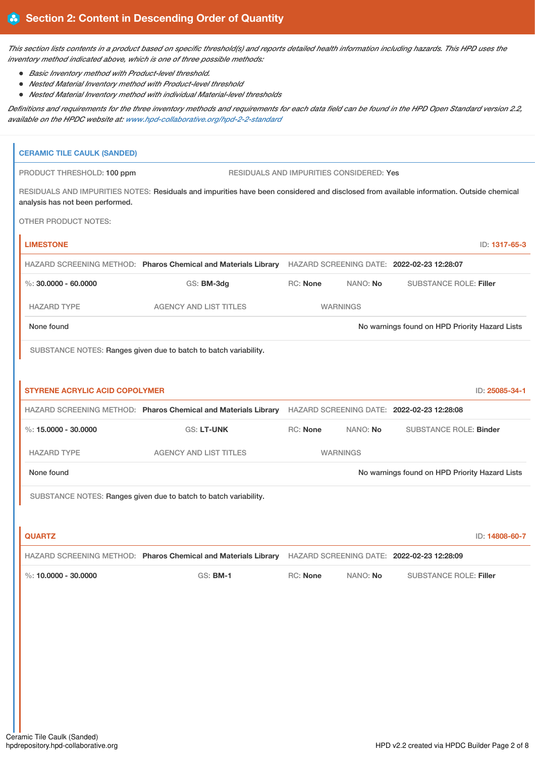This section lists contents in a product based on specific threshold(s) and reports detailed health information including hazards. This HPD uses the *inventory method indicated above, which is one of three possible methods:*

- *Basic Inventory method with Product-level threshold.*
- *Nested Material Inventory method with Product-level threshold*
- *Nested Material Inventory method with individual Material-level thresholds*

Definitions and requirements for the three inventory methods and requirements for each data field can be found in the HPD Open Standard version 2.2, *available on the HPDC website at: [www.hpd-collaborative.org/hpd-2-2-standard](https://www.hpd-collaborative.org/hpd-2-2-standard)*

| <b>CERAMIC TILE CAULK (SANDED)</b>    |                                                                                                                                          |          |                                                 |                                                |                |
|---------------------------------------|------------------------------------------------------------------------------------------------------------------------------------------|----------|-------------------------------------------------|------------------------------------------------|----------------|
| PRODUCT THRESHOLD: 100 ppm            |                                                                                                                                          |          | <b>RESIDUALS AND IMPURITIES CONSIDERED: Yes</b> |                                                |                |
| analysis has not been performed.      | RESIDUALS AND IMPURITIES NOTES: Residuals and impurities have been considered and disclosed from available information. Outside chemical |          |                                                 |                                                |                |
| <b>OTHER PRODUCT NOTES:</b>           |                                                                                                                                          |          |                                                 |                                                |                |
| <b>LIMESTONE</b>                      |                                                                                                                                          |          |                                                 |                                                | ID: 1317-65-3  |
|                                       | HAZARD SCREENING METHOD: Pharos Chemical and Materials Library HAZARD SCREENING DATE: 2022-02-23 12:28:07                                |          |                                                 |                                                |                |
| $\%$ : 30,0000 - 60,0000              | GS: BM-3dg                                                                                                                               | RC: None | NANO: No                                        | <b>SUBSTANCE ROLE: Filler</b>                  |                |
| <b>HAZARD TYPE</b>                    | <b>AGENCY AND LIST TITLES</b>                                                                                                            |          | <b>WARNINGS</b>                                 |                                                |                |
| None found                            |                                                                                                                                          |          |                                                 | No warnings found on HPD Priority Hazard Lists |                |
|                                       | SUBSTANCE NOTES: Ranges given due to batch to batch variability.                                                                         |          |                                                 |                                                |                |
|                                       |                                                                                                                                          |          |                                                 |                                                |                |
| <b>STYRENE ACRYLIC ACID COPOLYMER</b> |                                                                                                                                          |          |                                                 |                                                | ID: 25085-34-1 |
|                                       | HAZARD SCREENING METHOD: Pharos Chemical and Materials Library HAZARD SCREENING DATE: 2022-02-23 12:28:08                                |          |                                                 |                                                |                |
| %: $15,0000 - 30,0000$                | <b>GS: LT-UNK</b>                                                                                                                        | RC: None | NANO: No                                        | <b>SUBSTANCE ROLE: Binder</b>                  |                |
| <b>HAZARD TYPE</b>                    | <b>AGENCY AND LIST TITLES</b>                                                                                                            |          | <b>WARNINGS</b>                                 |                                                |                |
| None found                            |                                                                                                                                          |          |                                                 | No warnings found on HPD Priority Hazard Lists |                |
|                                       | SUBSTANCE NOTES: Ranges given due to batch to batch variability.                                                                         |          |                                                 |                                                |                |
|                                       |                                                                                                                                          |          |                                                 |                                                |                |
| <b>QUARTZ</b>                         |                                                                                                                                          |          |                                                 |                                                | ID: 14808-60-7 |
|                                       | HAZARD SCREENING METHOD: Pharos Chemical and Materials Library HAZARD SCREENING DATE: 2022-02-23 12:28:09                                |          |                                                 |                                                |                |
| %: $10.0000 - 30.0000$                | <b>GS: BM-1</b>                                                                                                                          | RC: None | NANO: No                                        | <b>SUBSTANCE ROLE: Filler</b>                  |                |
|                                       |                                                                                                                                          |          |                                                 |                                                |                |
|                                       |                                                                                                                                          |          |                                                 |                                                |                |
|                                       |                                                                                                                                          |          |                                                 |                                                |                |
|                                       |                                                                                                                                          |          |                                                 |                                                |                |
|                                       |                                                                                                                                          |          |                                                 |                                                |                |
|                                       |                                                                                                                                          |          |                                                 |                                                |                |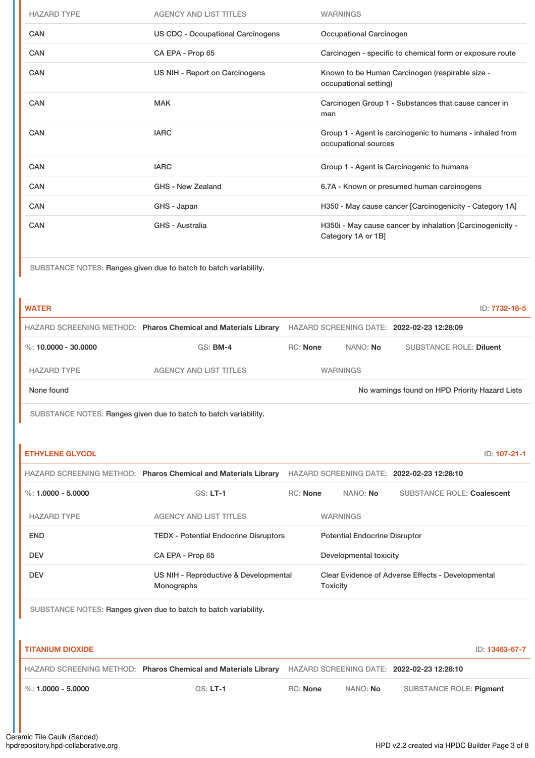| <b>HAZARD TYPE</b> | <b>AGENCY AND LIST TITLES</b>            | <b>WARNINGS</b>                                                                  |
|--------------------|------------------------------------------|----------------------------------------------------------------------------------|
| <b>CAN</b>         | <b>US CDC - Occupational Carcinogens</b> | Occupational Carcinogen                                                          |
| <b>CAN</b>         | CA EPA - Prop 65                         | Carcinogen - specific to chemical form or exposure route                         |
| <b>CAN</b>         | US NIH - Report on Carcinogens           | Known to be Human Carcinogen (respirable size -<br>occupational setting)         |
| CAN                | <b>MAK</b>                               | Carcinogen Group 1 - Substances that cause cancer in<br>man                      |
| <b>CAN</b>         | <b>IARC</b>                              | Group 1 - Agent is carcinogenic to humans - inhaled from<br>occupational sources |
| <b>CAN</b>         | <b>IARC</b>                              | Group 1 - Agent is Carcinogenic to humans                                        |
| <b>CAN</b>         | <b>GHS - New Zealand</b>                 | 6.7A - Known or presumed human carcinogens                                       |
| CAN                | GHS - Japan                              | H350 - May cause cancer [Carcinogenicity - Category 1A]                          |
| <b>CAN</b>         | <b>GHS - Australia</b>                   | H350i - May cause cancer by inhalation [Carcinogenicity -<br>Category 1A or 1B]  |

| <b>WATER</b>         |                                                                |                 |                 | ID: 7732-18-5                                  |
|----------------------|----------------------------------------------------------------|-----------------|-----------------|------------------------------------------------|
|                      | HAZARD SCREENING METHOD: Pharos Chemical and Materials Library |                 |                 | HAZARD SCREENING DATE: 2022-02-23 12:28:09     |
| %: 10.0000 - 30.0000 | $GS:$ BM-4                                                     | <b>RC: None</b> | NANO: <b>No</b> | <b>SUBSTANCE ROLE: Diluent</b>                 |
| <b>HAZARD TYPE</b>   | AGENCY AND LIST TITLES                                         |                 | <b>WARNINGS</b> |                                                |
| None found           |                                                                |                 |                 | No warnings found on HPD Priority Hazard Lists |

SUBSTANCE NOTES: Ranges given due to batch to batch variability.

| <b>ETHYLENE GLYCOL</b> |                                                                |                 |                                            | ID: 107-21-1                                      |
|------------------------|----------------------------------------------------------------|-----------------|--------------------------------------------|---------------------------------------------------|
|                        | HAZARD SCREENING METHOD: Pharos Chemical and Materials Library |                 | HAZARD SCREENING DATE: 2022-02-23 12:28:10 |                                                   |
| %: $1.0000 - 5.0000$   | $GS: LT-1$                                                     | <b>RC:</b> None | NANO: <b>No</b>                            | <b>SUBSTANCE ROLE: Coalescent</b>                 |
| <b>HAZARD TYPE</b>     | <b>AGENCY AND LIST TITLES</b>                                  |                 | <b>WARNINGS</b>                            |                                                   |
| <b>END</b>             | <b>TEDX - Potential Endocrine Disruptors</b>                   |                 | <b>Potential Endocrine Disruptor</b>       |                                                   |
| <b>DEV</b>             | CA EPA - Prop 65                                               |                 | Developmental toxicity                     |                                                   |
| <b>DEV</b>             | US NIH - Reproductive & Developmental<br>Monographs            |                 | <b>Toxicity</b>                            | Clear Evidence of Adverse Effects - Developmental |

| <b>TITANIUM DIOXIDE</b>         |                                                                                                           |          |                 | ID: 13463-67-7          |
|---------------------------------|-----------------------------------------------------------------------------------------------------------|----------|-----------------|-------------------------|
|                                 | HAZARD SCREENING METHOD: Pharos Chemical and Materials Library HAZARD SCREENING DATE: 2022-02-23 12:28:10 |          |                 |                         |
| $\frac{9}{6}$ : 1.0000 - 5.0000 | $GS: LT-1$                                                                                                | RC: None | NANO: <b>No</b> | SUBSTANCE ROLE: Piament |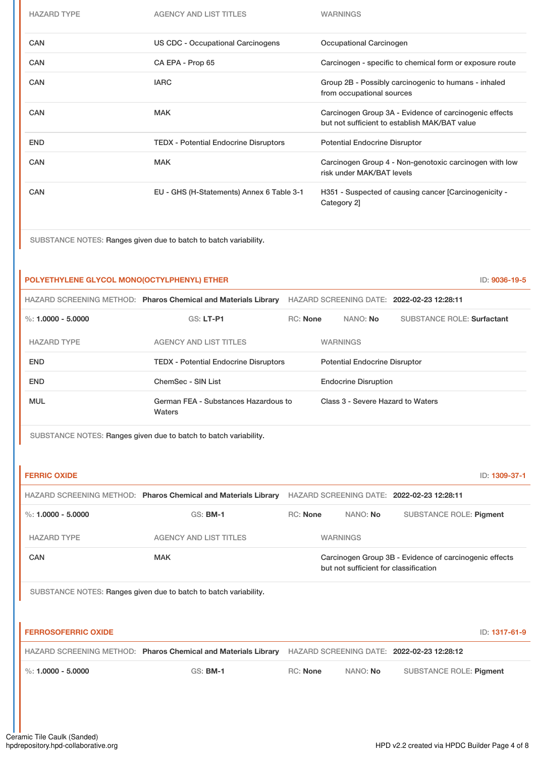| <b>HAZARD TYPE</b> | <b>AGENCY AND LIST TITLES</b>                | <b>WARNINGS</b>                                                                                         |
|--------------------|----------------------------------------------|---------------------------------------------------------------------------------------------------------|
| CAN                | US CDC - Occupational Carcinogens            | Occupational Carcinogen                                                                                 |
| <b>CAN</b>         | CA EPA - Prop 65                             | Carcinogen - specific to chemical form or exposure route                                                |
| <b>CAN</b>         | <b>IARC</b>                                  | Group 2B - Possibly carcinogenic to humans - inhaled<br>from occupational sources                       |
| <b>CAN</b>         | <b>MAK</b>                                   | Carcinogen Group 3A - Evidence of carcinogenic effects<br>but not sufficient to establish MAK/BAT value |
| <b>END</b>         | <b>TEDX - Potential Endocrine Disruptors</b> | <b>Potential Endocrine Disruptor</b>                                                                    |
| <b>CAN</b>         | <b>MAK</b>                                   | Carcinogen Group 4 - Non-genotoxic carcinogen with low<br>risk under MAK/BAT levels                     |
| <b>CAN</b>         | EU - GHS (H-Statements) Annex 6 Table 3-1    | H351 - Suspected of causing cancer [Carcinogenicity -<br>Category 2]                                    |

## **POLYETHYLENE GLYCOL MONO(OCTYLPHENYL) ETHER** ID: **9036-19-5**

|                      | HAZARD SCREENING METHOD: Pharos Chemical and Materials Library |                 |                                      | HAZARD SCREENING DATE: 2022-02-23 12:28:11 |
|----------------------|----------------------------------------------------------------|-----------------|--------------------------------------|--------------------------------------------|
| %: $1.0000 - 5.0000$ | $GS: LT-PI$                                                    | <b>RC: None</b> | NANO: No                             | <b>SUBSTANCE ROLE: Surfactant</b>          |
| <b>HAZARD TYPE</b>   | <b>AGENCY AND LIST TITLES</b>                                  |                 | <b>WARNINGS</b>                      |                                            |
| <b>END</b>           | <b>TEDX - Potential Endocrine Disruptors</b>                   |                 | <b>Potential Endocrine Disruptor</b> |                                            |
| <b>END</b>           | ChemSec - SIN List                                             |                 | <b>Endocrine Disruption</b>          |                                            |
| <b>MUL</b>           | German FEA - Substances Hazardous to<br>Waters                 |                 | Class 3 - Severe Hazard to Waters    |                                            |

| <b>FERRIC OXIDE</b>        |                                                                  |                 |                                       |                                                        | ID: 1309-37-1 |
|----------------------------|------------------------------------------------------------------|-----------------|---------------------------------------|--------------------------------------------------------|---------------|
|                            | HAZARD SCREENING METHOD: Pharos Chemical and Materials Library   |                 |                                       | HAZARD SCREENING DATE: 2022-02-23 12:28:11             |               |
| $\%: 1.0000 - 5.0000$      | <b>GS: BM-1</b>                                                  | <b>RC: None</b> | NANO: No                              | <b>SUBSTANCE ROLE: Pigment</b>                         |               |
| <b>HAZARD TYPE</b>         | <b>AGENCY AND LIST TITLES</b>                                    |                 | <b>WARNINGS</b>                       |                                                        |               |
| CAN                        | <b>MAK</b>                                                       |                 | but not sufficient for classification | Carcinogen Group 3B - Evidence of carcinogenic effects |               |
|                            | SUBSTANCE NOTES: Ranges given due to batch to batch variability. |                 |                                       |                                                        |               |
|                            |                                                                  |                 |                                       |                                                        |               |
| <b>FERROSOFERRIC OXIDE</b> |                                                                  |                 |                                       |                                                        | ID: 1317-61-9 |
|                            | HAZARD SCREENING METHOD: Pharos Chemical and Materials Library   |                 |                                       | HAZARD SCREENING DATE: 2022-02-23 12:28:12             |               |
| $\%$ : 1.0000 - 5.0000     | <b>GS: BM-1</b>                                                  | <b>RC: None</b> | NANO: No                              | <b>SUBSTANCE ROLE: Pigment</b>                         |               |
|                            |                                                                  |                 |                                       |                                                        |               |
|                            |                                                                  |                 |                                       |                                                        |               |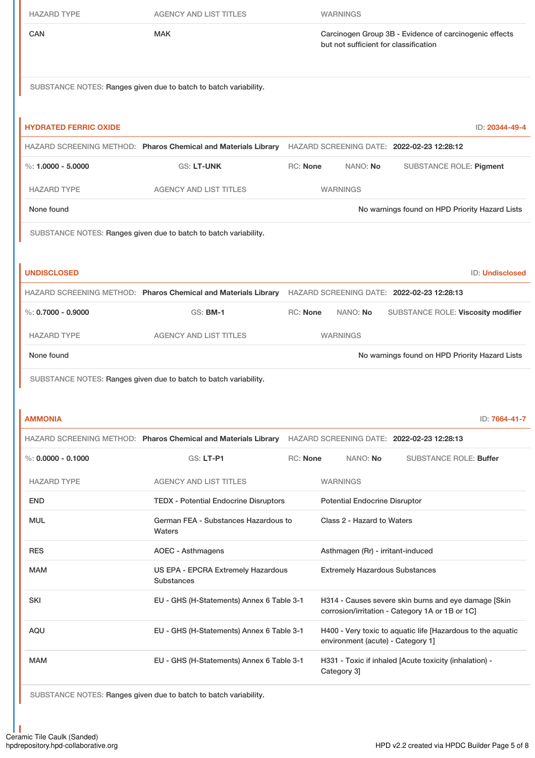| <b>HAZARD TYPE</b>           | <b>AGENCY AND LIST TITLES</b>                                    | <b>WARNINGS</b>                                                                                           |
|------------------------------|------------------------------------------------------------------|-----------------------------------------------------------------------------------------------------------|
| CAN                          | <b>MAK</b>                                                       | Carcinogen Group 3B - Evidence of carcinogenic effects<br>but not sufficient for classification           |
|                              | SUBSTANCE NOTES: Ranges given due to batch to batch variability. |                                                                                                           |
|                              |                                                                  |                                                                                                           |
| <b>HYDRATED FERRIC OXIDE</b> |                                                                  | ID: 20344-49-4                                                                                            |
|                              |                                                                  | HAZARD SCREENING METHOD: Pharos Chemical and Materials Library HAZARD SCREENING DATE: 2022-02-23 12:28:12 |
| %: $1.0000 - 5.0000$         | GS: LT-UNK                                                       | RC: None<br>NANO: No<br><b>SUBSTANCE ROLE: Pigment</b>                                                    |
| <b>HAZARD TYPE</b>           | <b>AGENCY AND LIST TITLES</b>                                    | <b>WARNINGS</b>                                                                                           |
| None found                   |                                                                  | No warnings found on HPD Priority Hazard Lists                                                            |
|                              | SUBSTANCE NOTES: Ranges given due to batch to batch variability. |                                                                                                           |
|                              |                                                                  |                                                                                                           |
| <b>UNDISCLOSED</b>           |                                                                  | <b>ID: Undisclosed</b>                                                                                    |
|                              |                                                                  | HAZARD SCREENING METHOD: Pharos Chemical and Materials Library HAZARD SCREENING DATE: 2022-02-23 12:28:13 |
| $\%$ : 0.7000 - 0.9000       | <b>GS: BM-1</b>                                                  | RC: None<br>NANO: No<br>SUBSTANCE ROLE: Viscosity modifier                                                |
| <b>HAZARD TYPE</b>           | <b>AGENCY AND LIST TITLES</b>                                    | <b>WARNINGS</b>                                                                                           |
| None found                   |                                                                  | No warnings found on HPD Priority Hazard Lists                                                            |
|                              | SUBSTANCE NOTES: Ranges given due to batch to batch variability. |                                                                                                           |
|                              |                                                                  |                                                                                                           |
| <b>AMMONIA</b>               |                                                                  | ID: 7664-41-7                                                                                             |
|                              |                                                                  | HAZARD SCREENING METHOD: Pharos Chemical and Materials Library HAZARD SCREENING DATE: 2022-02-23 12:28:13 |
| $\%$ : 0.0000 - 0.1000       | <b>GS: LT-P1</b>                                                 | RC: None<br>NANO: No<br><b>SUBSTANCE ROLE: Buffer</b>                                                     |
| <b>HAZARD TYPE</b>           | <b>AGENCY AND LIST TITLES</b>                                    | <b>WARNINGS</b>                                                                                           |
| <b>END</b>                   | <b>TEDX - Potential Endocrine Disruptors</b>                     | <b>Potential Endocrine Disruptor</b>                                                                      |
| <b>MUL</b>                   | German FEA - Substances Hazardous to<br>Waters                   | Class 2 - Hazard to Waters                                                                                |
| <b>RES</b>                   | <b>AOEC - Asthmagens</b>                                         | Asthmagen (Rr) - irritant-induced                                                                         |
| <b>MAM</b>                   | US EPA - EPCRA Extremely Hazardous<br><b>Substances</b>          | <b>Extremely Hazardous Substances</b>                                                                     |
| <b>SKI</b>                   | EU - GHS (H-Statements) Annex 6 Table 3-1                        | H314 - Causes severe skin burns and eye damage [Skin<br>corrosion/irritation - Category 1A or 1B or 1C]   |
| AQU                          | EU - GHS (H-Statements) Annex 6 Table 3-1                        | H400 - Very toxic to aquatic life [Hazardous to the aquatic<br>environment (acute) - Category 1]          |
| <b>MAM</b>                   | EU - GHS (H-Statements) Annex 6 Table 3-1                        | H331 - Toxic if inhaled [Acute toxicity (inhalation) -<br>Category 3]                                     |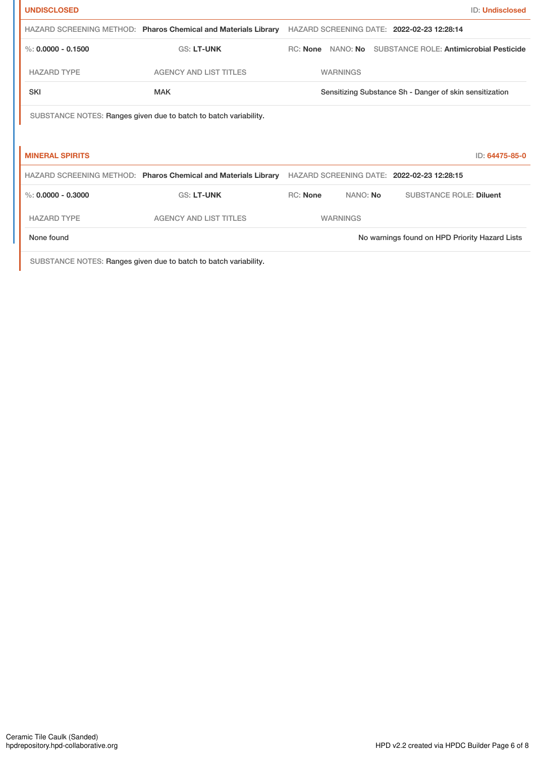| <b>UNDISCLOSED</b>     |                                                                  |                 |          | <b>ID: Undisclosed</b>                                  |
|------------------------|------------------------------------------------------------------|-----------------|----------|---------------------------------------------------------|
|                        | HAZARD SCREENING METHOD: Pharos Chemical and Materials Library   |                 |          | HAZARD SCREENING DATE: 2022-02-23 12:28:14              |
| $\%$ : 0.0000 - 0.1500 | <b>GS: LT-UNK</b>                                                | <b>RC: None</b> | NANO: No | <b>SUBSTANCE ROLE: Antimicrobial Pesticide</b>          |
| <b>HAZARD TYPE</b>     | <b>AGENCY AND LIST TITLES</b>                                    | <b>WARNINGS</b> |          |                                                         |
| <b>SKI</b>             | <b>MAK</b>                                                       |                 |          | Sensitizing Substance Sh - Danger of skin sensitization |
|                        | SUBSTANCE NOTES: Ranges given due to batch to batch variability. |                 |          |                                                         |
|                        |                                                                  |                 |          |                                                         |
| <b>MINERAL SPIRITS</b> |                                                                  |                 |          | ID: 64475-85-0                                          |
|                        | HAZARD SCREENING METHOD: Pharos Chemical and Materials Library   |                 |          | HAZARD SCREENING DATE: 2022-02-23 12:28:15              |
| %: $0.0000 - 0.3000$   | <b>GS: LT-UNK</b>                                                | <b>RC: None</b> | NANO: No | <b>SUBSTANCE ROLE: Diluent</b>                          |
| <b>HAZARD TYPE</b>     | <b>AGENCY AND LIST TITLES</b>                                    | <b>WARNINGS</b> |          |                                                         |
| None found             |                                                                  |                 |          | No warnings found on HPD Priority Hazard Lists          |
|                        |                                                                  |                 |          |                                                         |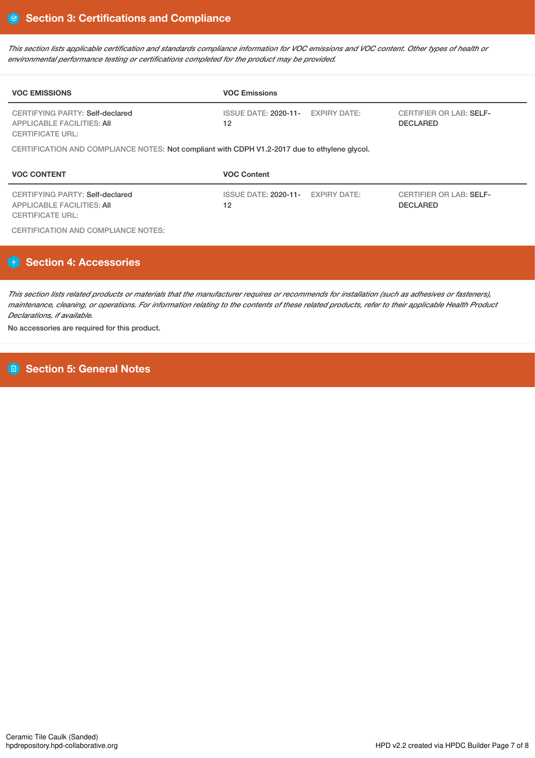This section lists applicable certification and standards compliance information for VOC emissions and VOC content. Other types of health or *environmental performance testing or certifications completed for the product may be provided.*

| <b>VOC EMISSIONS</b>                                                                            | <b>VOC Emissions</b>                    |                                                   |
|-------------------------------------------------------------------------------------------------|-----------------------------------------|---------------------------------------------------|
| CERTIFYING PARTY: Self-declared<br><b>APPLICABLE FACILITIES: AII</b><br><b>CERTIFICATE URL:</b> | ISSUE DATE: 2020-11- EXPIRY DATE:<br>12 | <b>CERTIFIER OR LAB: SELF-</b><br><b>DECLARED</b> |
| CERTIFICATION AND COMPLIANCE NOTES: Not compliant with CDPH V1.2-2017 due to ethylene glycol.   |                                         |                                                   |
|                                                                                                 |                                         |                                                   |
| <b>VOC CONTENT</b>                                                                              | <b>VOC Content</b>                      |                                                   |

CERTIFICATION AND COMPLIANCE NOTES:

# **Section 4: Accessories**

This section lists related products or materials that the manufacturer requires or recommends for installation (such as adhesives or fasteners), maintenance, cleaning, or operations. For information relating to the contents of these related products, refer to their applicable Health Product *Declarations, if available.*

No accessories are required for this product.

**Section 5: General Notes**